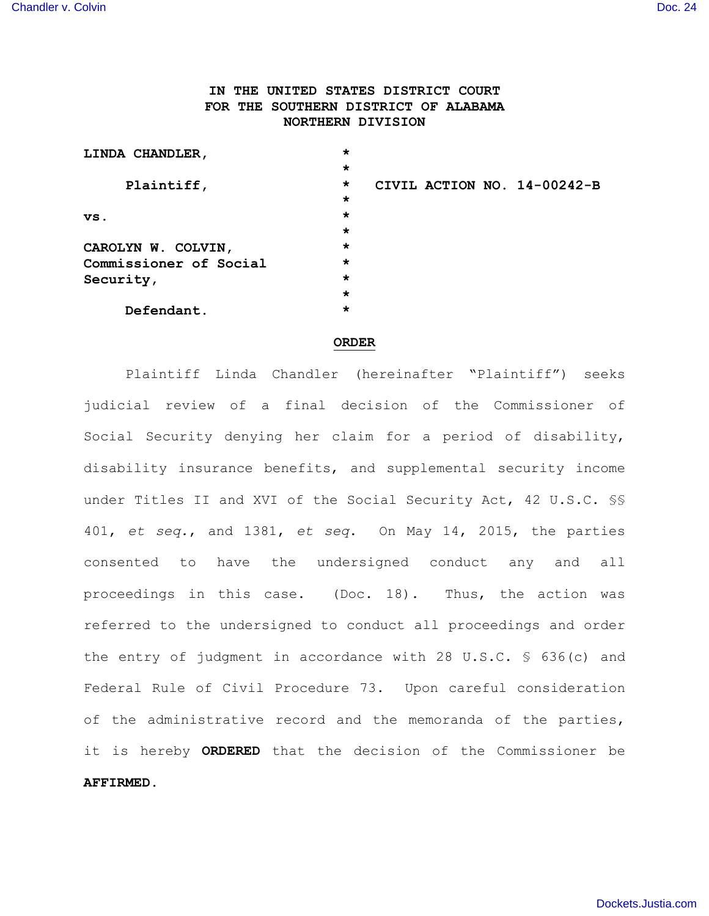# **IN THE UNITED STATES DISTRICT COURT FOR THE SOUTHERN DISTRICT OF ALABAMA NORTHERN DIVISION**

| LINDA CHANDLER,        | $\star$ |  |                             |
|------------------------|---------|--|-----------------------------|
|                        | $\star$ |  |                             |
| Plaintiff,             | $\star$ |  | CIVIL ACTION NO. 14-00242-B |
|                        | $\star$ |  |                             |
| vs.                    | $\star$ |  |                             |
|                        | $\star$ |  |                             |
| CAROLYN W. COLVIN,     | $\star$ |  |                             |
| Commissioner of Social | $\star$ |  |                             |
| Security,              | $\star$ |  |                             |
|                        | $\star$ |  |                             |
| Defendant.             | *       |  |                             |

#### **ORDER**

Plaintiff Linda Chandler (hereinafter "Plaintiff") seeks judicial review of a final decision of the Commissioner of Social Security denying her claim for a period of disability, disability insurance benefits, and supplemental security income under Titles II and XVI of the Social Security Act, 42 U.S.C. §§ 401, *et seq.*, and 1381, *et seq*. On May 14, 2015, the parties consented to have the undersigned conduct any and all proceedings in this case. (Doc. 18). Thus, the action was referred to the undersigned to conduct all proceedings and order the entry of judgment in accordance with 28 U.S.C. § 636(c) and Federal Rule of Civil Procedure 73. Upon careful consideration of the administrative record and the memoranda of the parties, it is hereby **ORDERED** that the decision of the Commissioner be **AFFIRMED**.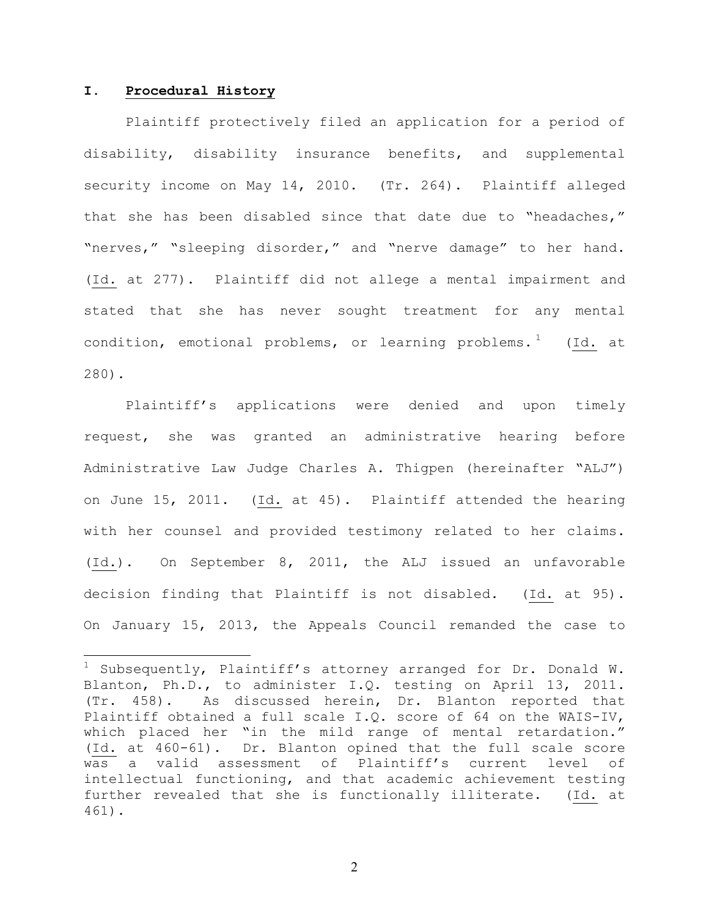## **I. Procedural History**

Plaintiff protectively filed an application for a period of disability, disability insurance benefits, and supplemental security income on May 14, 2010. (Tr. 264). Plaintiff alleged that she has been disabled since that date due to "headaches," "nerves," "sleeping disorder," and "nerve damage" to her hand. (Id. at 277). Plaintiff did not allege a mental impairment and stated that she has never sought treatment for any mental condition, emotional problems, or learning problems.<sup>1</sup> (Id. at 280).

Plaintiff's applications were denied and upon timely request, she was granted an administrative hearing before Administrative Law Judge Charles A. Thigpen (hereinafter "ALJ") on June 15, 2011. (Id. at 45). Plaintiff attended the hearing with her counsel and provided testimony related to her claims. (Id.). On September 8, 2011, the ALJ issued an unfavorable decision finding that Plaintiff is not disabled. (Id. at 95). On January 15, 2013, the Appeals Council remanded the case to

<sup>&</sup>lt;sup>1</sup> Subsequently, Plaintiff's attorney arranged for Dr. Donald W. Blanton, Ph.D., to administer I.Q. testing on April 13, 2011. (Tr. 458). As discussed herein, Dr. Blanton reported that Plaintiff obtained a full scale I.Q. score of 64 on the WAIS-IV, which placed her "in the mild range of mental retardation." (Id. at 460-61). Dr. Blanton opined that the full scale score was a valid assessment of Plaintiff's current level of intellectual functioning, and that academic achievement testing further revealed that she is functionally illiterate. (Id. at 461).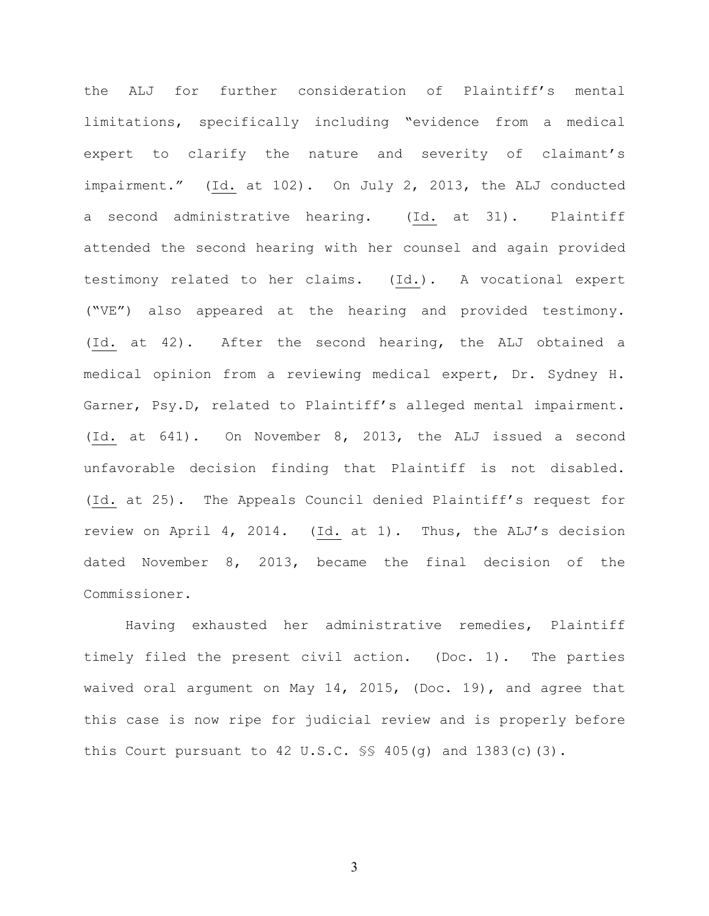the ALJ for further consideration of Plaintiff's mental limitations, specifically including "evidence from a medical expert to clarify the nature and severity of claimant's impairment." (Id. at 102). On July 2, 2013, the ALJ conducted a second administrative hearing. (Id. at 31). Plaintiff attended the second hearing with her counsel and again provided testimony related to her claims.(Id.). A vocational expert ("VE") also appeared at the hearing and provided testimony. (Id. at 42). After the second hearing, the ALJ obtained a medical opinion from a reviewing medical expert, Dr. Sydney H. Garner, Psy.D, related to Plaintiff's alleged mental impairment. (Id. at 641). On November 8, 2013, the ALJ issued a second unfavorable decision finding that Plaintiff is not disabled. (Id. at 25). The Appeals Council denied Plaintiff's request for review on April 4, 2014. (Id. at 1). Thus, the ALJ's decision dated November 8, 2013, became the final decision of the Commissioner.

Having exhausted her administrative remedies, Plaintiff timely filed the present civil action. (Doc. 1). The parties waived oral argument on May 14, 2015, (Doc. 19), and agree that this case is now ripe for judicial review and is properly before this Court pursuant to  $42$  U.S.C.  $\S$ \$  $405$ (g) and  $1383$ (c)(3).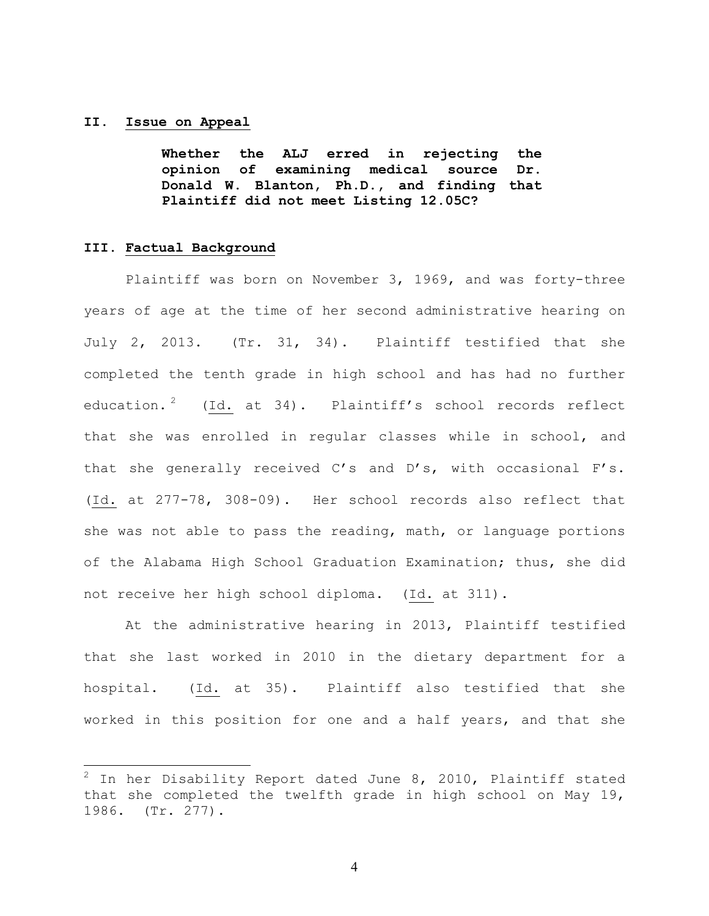## **II. Issue on Appeal**

**Whether the ALJ erred in rejecting the opinion of examining medical source Dr. Donald W. Blanton, Ph.D., and finding that Plaintiff did not meet Listing 12.05C?**

## **III. Factual Background**

Plaintiff was born on November 3, 1969, and was forty-three years of age at the time of her second administrative hearing on July 2, 2013. (Tr. 31, 34). Plaintiff testified that she completed the tenth grade in high school and has had no further education.<sup>2</sup> (Id. at 34). Plaintiff's school records reflect that she was enrolled in regular classes while in school, and that she generally received C's and D's, with occasional F's. (Id. at 277-78, 308-09). Her school records also reflect that she was not able to pass the reading, math, or language portions of the Alabama High School Graduation Examination; thus, she did not receive her high school diploma. (Id. at 311).

At the administrative hearing in 2013, Plaintiff testified that she last worked in 2010 in the dietary department for a hospital. (Id. at 35). Plaintiff also testified that she worked in this position for one and a half years, and that she

<sup>2</sup> In her Disability Report dated June 8, 2010, Plaintiff stated that she completed the twelfth grade in high school on May 19, 1986. (Tr. 277).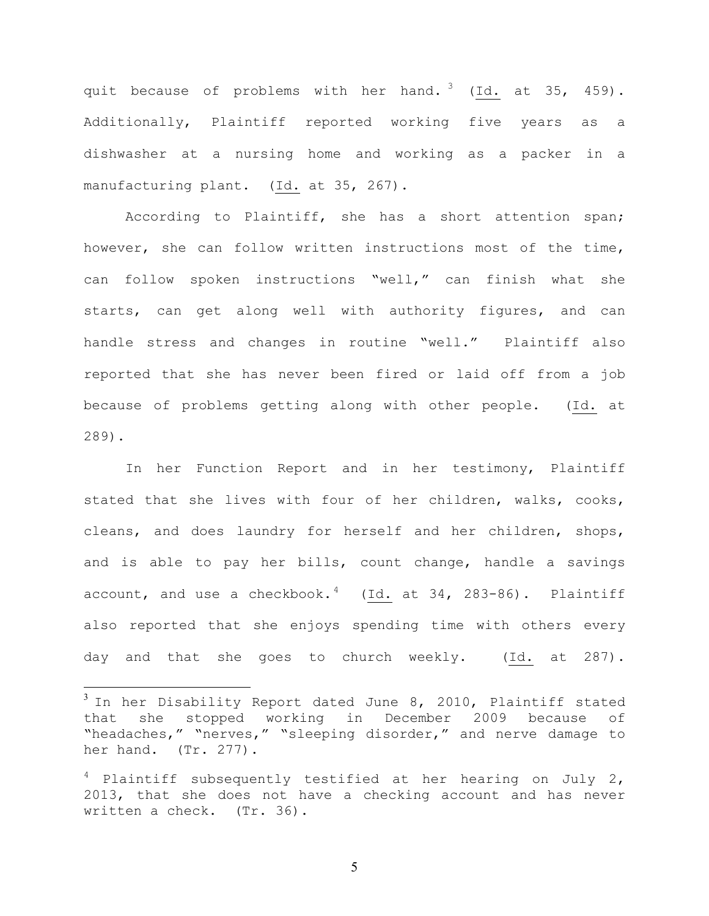quit because of problems with her hand.<sup>3</sup> (Id. at 35, 459). Additionally, Plaintiff reported working five years as a dishwasher at a nursing home and working as a packer in a manufacturing plant. (Id. at 35, 267).

According to Plaintiff, she has a short attention span; however, she can follow written instructions most of the time, can follow spoken instructions "well," can finish what she starts, can get along well with authority figures, and can handle stress and changes in routine "well." Plaintiff also reported that she has never been fired or laid off from a job because of problems getting along with other people. (Id. at 289).

In her Function Report and in her testimony, Plaintiff stated that she lives with four of her children, walks, cooks, cleans, and does laundry for herself and her children, shops, and is able to pay her bills, count change, handle a savings account, and use a checkbook. $4$  (Id. at 34, 283-86). Plaintiff also reported that she enjoys spending time with others every day and that she goes to church weekly. (Id. at 287).

 $3$  In her Disability Report dated June 8, 2010, Plaintiff stated that she stopped working in December 2009 because of "headaches," "nerves," "sleeping disorder," and nerve damage to her hand. (Tr. 277).

 $4$  Plaintiff subsequently testified at her hearing on July 2, 2013, that she does not have a checking account and has never written a check. (Tr. 36).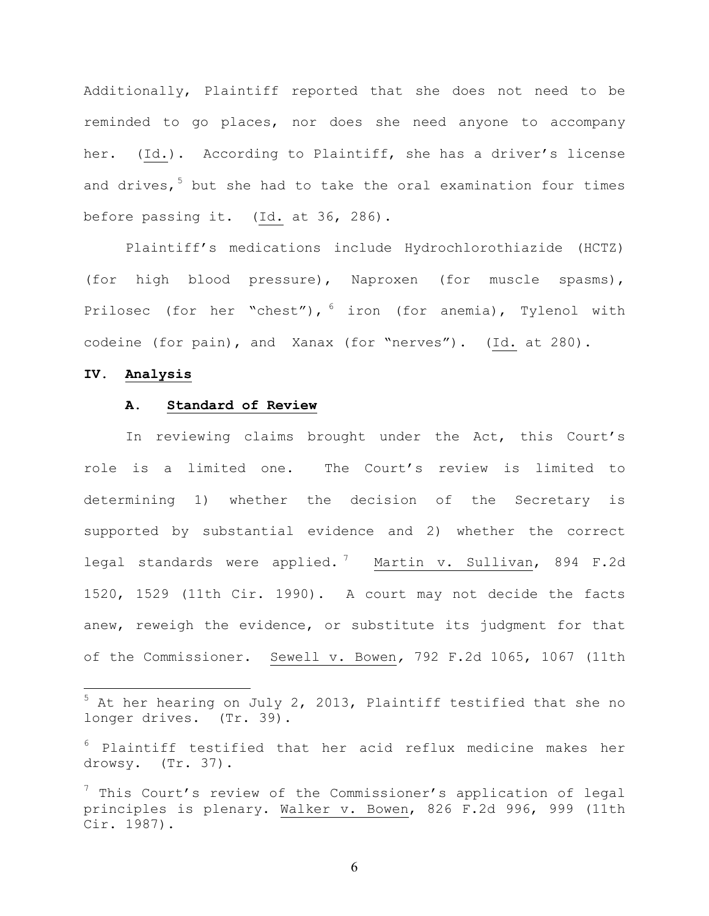Additionally, Plaintiff reported that she does not need to be reminded to go places, nor does she need anyone to accompany her. (Id.). According to Plaintiff, she has a driver's license and drives,  $5$  but she had to take the oral examination four times before passing it. (Id. at 36, 286).

Plaintiff's medications include Hydrochlorothiazide (HCTZ) (for high blood pressure), Naproxen (for muscle spasms), Prilosec (for her "chest"),  $6$  iron (for anemia), Tylenol with codeine (for pain), and Xanax (for "nerves"). (Id. at 280).

#### **IV. Analysis**

## **A. Standard of Review**

In reviewing claims brought under the Act, this Court's role is a limited one. The Court's review is limited to determining 1) whether the decision of the Secretary is supported by substantial evidence and 2) whether the correct legal standards were applied.<sup>7</sup> Martin v. Sullivan, 894 F.2d 1520, 1529 (11th Cir. 1990). A court may not decide the facts anew, reweigh the evidence, or substitute its judgment for that of the Commissioner. Sewell v. Bowen*,* 792 F.2d 1065, 1067 (11th

<sup>5</sup> At her hearing on July 2, 2013, Plaintiff testified that she no longer drives. (Tr. 39).

 $6$  Plaintiff testified that her acid reflux medicine makes her drowsy. (Tr. 37).

 $7$  This Court's review of the Commissioner's application of legal principles is plenary. Walker v. Bowen, 826 F.2d 996, 999 (11th Cir. 1987).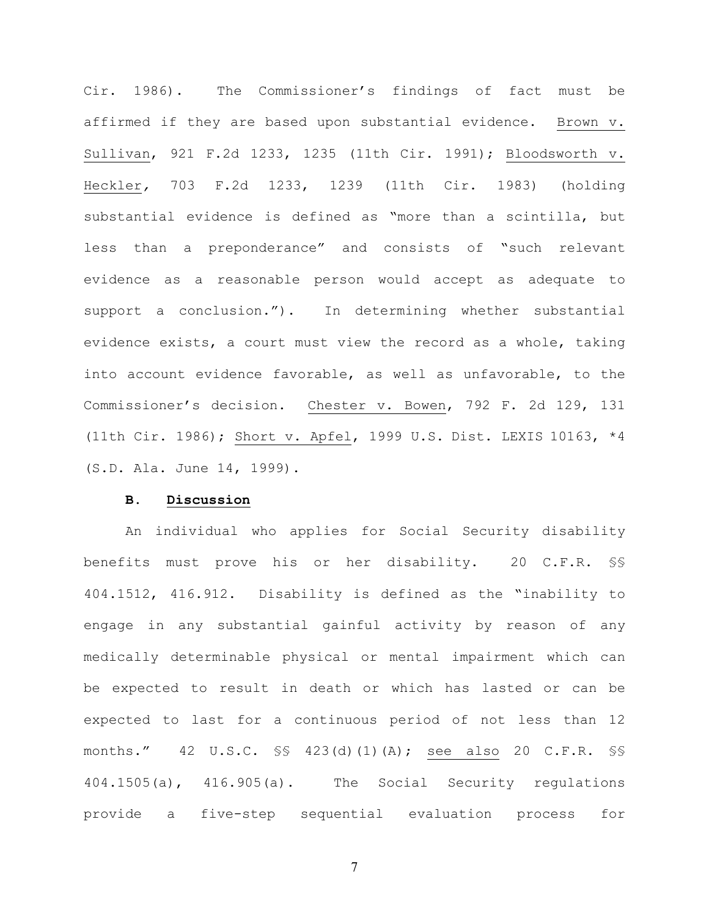Cir. 1986). The Commissioner's findings of fact must be affirmed if they are based upon substantial evidence. Brown v. Sullivan, 921 F.2d 1233, 1235 (11th Cir. 1991); Bloodsworth v. Heckler*,* 703 F.2d 1233, 1239 (11th Cir. 1983) (holding substantial evidence is defined as "more than a scintilla, but less than a preponderance" and consists of "such relevant evidence as a reasonable person would accept as adequate to support a conclusion."). In determining whether substantial evidence exists, a court must view the record as a whole, taking into account evidence favorable, as well as unfavorable, to the Commissioner's decision. Chester v. Bowen, 792 F. 2d 129, 131 (11th Cir. 1986); Short v. Apfel, 1999 U.S. Dist. LEXIS 10163, \*4 (S.D. Ala. June 14, 1999).

## **B. Discussion**

An individual who applies for Social Security disability benefits must prove his or her disability. 20 C.F.R. §§ 404.1512, 416.912. Disability is defined as the "inability to engage in any substantial gainful activity by reason of any medically determinable physical or mental impairment which can be expected to result in death or which has lasted or can be expected to last for a continuous period of not less than 12 months." 42 U.S.C. §§ 423(d)(1)(A); see also 20 C.F.R. §§ 404.1505(a), 416.905(a). The Social Security regulations provide a five-step sequential evaluation process for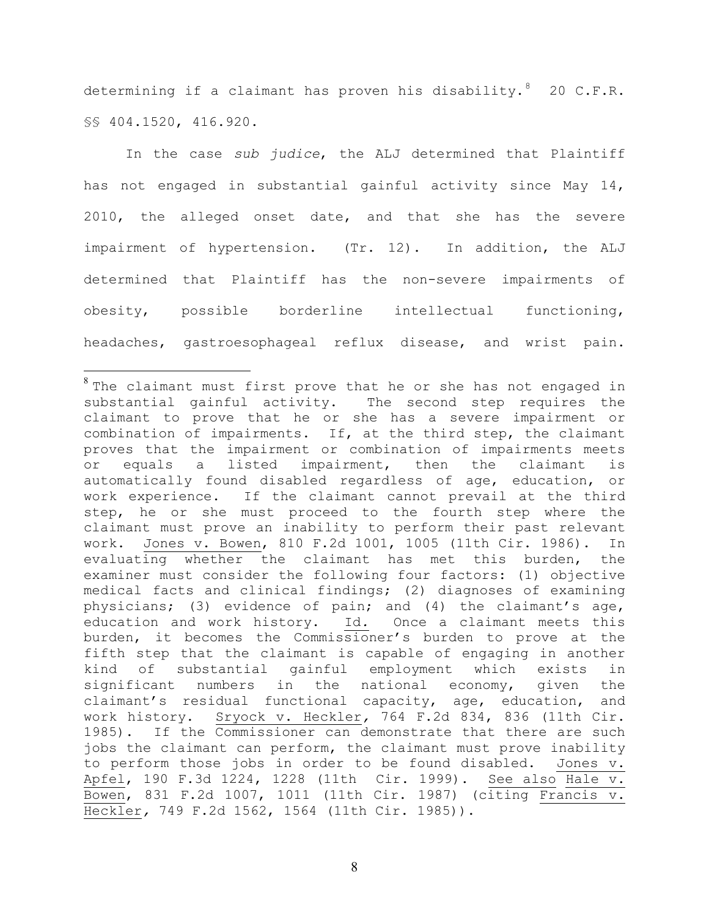determining if a claimant has proven his disability.  $8$  20 C.F.R. §§ 404.1520, 416.920.

In the case *sub judice*, the ALJ determined that Plaintiff has not engaged in substantial gainful activity since May 14, 2010, the alleged onset date, and that she has the severe impairment of hypertension. (Tr. 12). In addition, the ALJ determined that Plaintiff has the non-severe impairments of obesity, possible borderline intellectual functioning, headaches, gastroesophageal reflux disease, and wrist pain.

<sup>&</sup>lt;sup>8</sup> The claimant must first prove that he or she has not engaged in substantial gainful activity. The second step requires the claimant to prove that he or she has a severe impairment or combination of impairments. If, at the third step, the claimant proves that the impairment or combination of impairments meets or equals a listed impairment, then the claimant is automatically found disabled regardless of age, education, or work experience. If the claimant cannot prevail at the third step, he or she must proceed to the fourth step where the claimant must prove an inability to perform their past relevant work. Jones v. Bowen, 810 F.2d 1001, 1005 (11th Cir. 1986). In evaluating whether the claimant has met this burden, the examiner must consider the following four factors: (1) objective medical facts and clinical findings; (2) diagnoses of examining physicians; (3) evidence of pain; and (4) the claimant's age, education and work history. Id*.* Once a claimant meets this burden, it becomes the Commissioner's burden to prove at the fifth step that the claimant is capable of engaging in another kind of substantial gainful employment which exists in significant numbers in the national economy, given the claimant's residual functional capacity, age, education, and work history. Sryock v. Heckler*,* 764 F.2d 834, 836 (11th Cir. 1985). If the Commissioner can demonstrate that there are such jobs the claimant can perform, the claimant must prove inability to perform those jobs in order to be found disabled. Jones v. Apfel, 190 F.3d 1224, 1228 (11th Cir. 1999). See also Hale v. Bowen, 831 F.2d 1007, 1011 (11th Cir. 1987) (citing Francis v. Heckler*,* 749 F.2d 1562, 1564 (11th Cir. 1985)).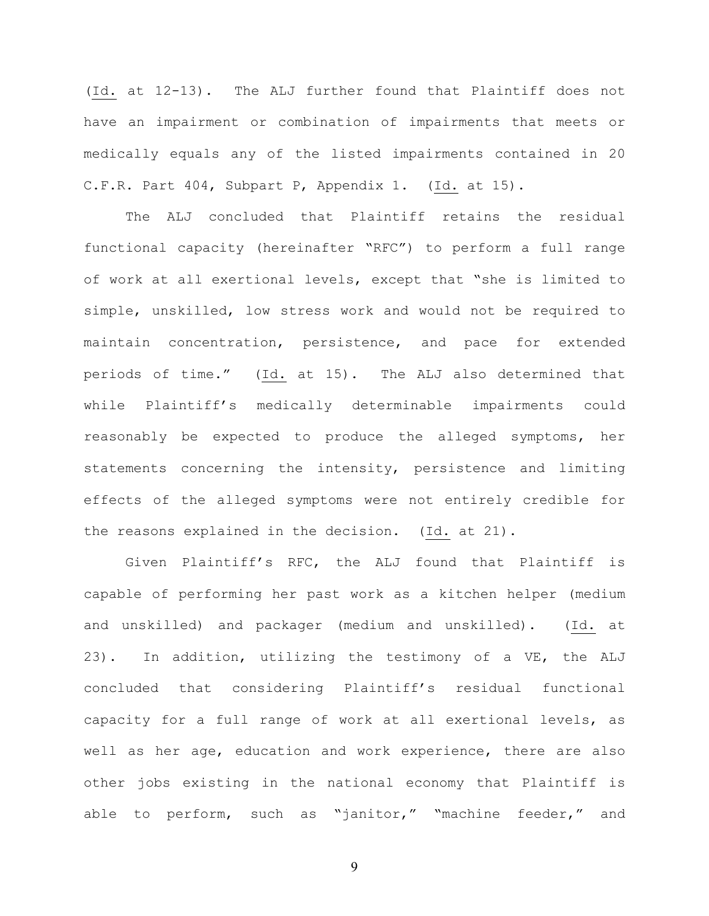(Id. at 12-13). The ALJ further found that Plaintiff does not have an impairment or combination of impairments that meets or medically equals any of the listed impairments contained in 20 C.F.R. Part 404, Subpart P, Appendix 1. (Id. at 15).

The ALJ concluded that Plaintiff retains the residual functional capacity (hereinafter "RFC") to perform a full range of work at all exertional levels, except that "she is limited to simple, unskilled, low stress work and would not be required to maintain concentration, persistence, and pace for extended periods of time." (Id. at 15). The ALJ also determined that while Plaintiff's medically determinable impairments could reasonably be expected to produce the alleged symptoms, her statements concerning the intensity, persistence and limiting effects of the alleged symptoms were not entirely credible for the reasons explained in the decision. (Id. at 21).

Given Plaintiff's RFC, the ALJ found that Plaintiff is capable of performing her past work as a kitchen helper (medium and unskilled) and packager (medium and unskilled). (Id. at 23). In addition, utilizing the testimony of a VE, the ALJ concluded that considering Plaintiff's residual functional capacity for a full range of work at all exertional levels, as well as her age, education and work experience, there are also other jobs existing in the national economy that Plaintiff is able to perform, such as "janitor," "machine feeder," and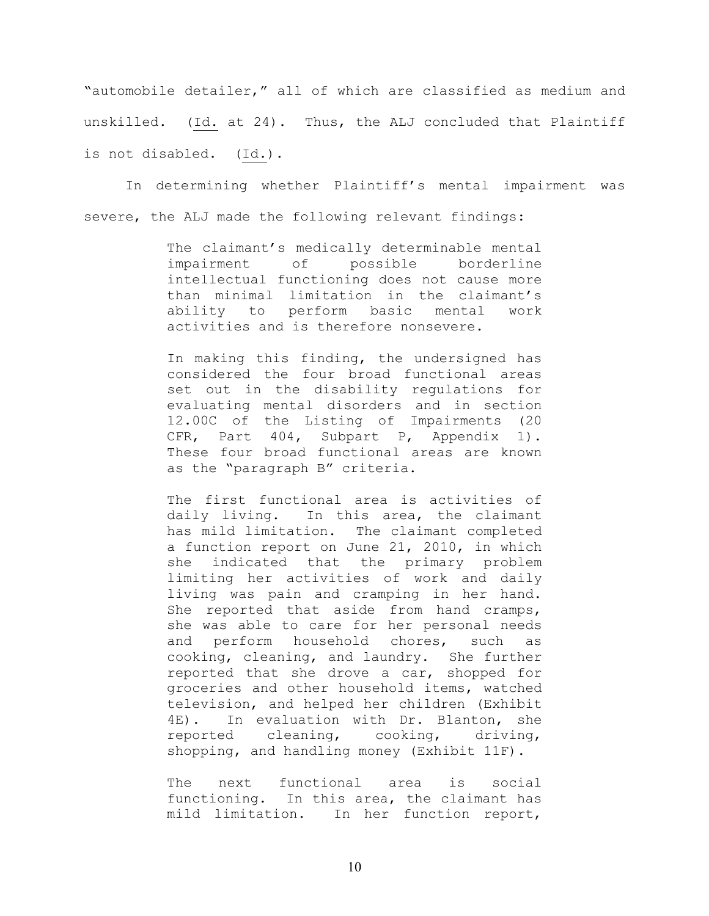"automobile detailer," all of which are classified as medium and unskilled. (Id. at 24). Thus, the ALJ concluded that Plaintiff is not disabled. (Id.).

In determining whether Plaintiff's mental impairment was severe, the ALJ made the following relevant findings:

> The claimant's medically determinable mental impairment of possible borderline intellectual functioning does not cause more than minimal limitation in the claimant's ability to perform basic mental work activities and is therefore nonsevere.

> In making this finding, the undersigned has considered the four broad functional areas set out in the disability regulations for evaluating mental disorders and in section 12.00C of the Listing of Impairments (20 CFR, Part 404, Subpart P, Appendix 1). These four broad functional areas are known as the "paragraph B" criteria.

> The first functional area is activities of daily living. In this area, the claimant has mild limitation. The claimant completed a function report on June 21, 2010, in which she indicated that the primary problem limiting her activities of work and daily living was pain and cramping in her hand. She reported that aside from hand cramps, she was able to care for her personal needs and perform household chores, such as cooking, cleaning, and laundry. She further reported that she drove a car, shopped for groceries and other household items, watched television, and helped her children (Exhibit 4E). In evaluation with Dr. Blanton, she reported cleaning, cooking, driving, shopping, and handling money (Exhibit 11F).

> The next functional area is social functioning. In this area, the claimant has mild limitation. In her function report,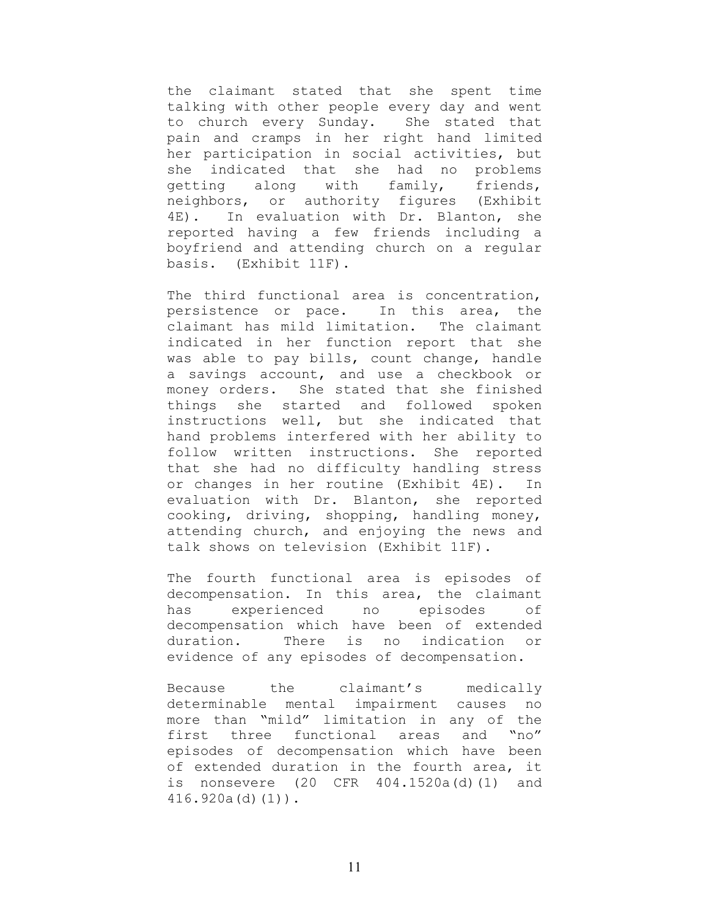the claimant stated that she spent time talking with other people every day and went to church every Sunday. She stated that pain and cramps in her right hand limited her participation in social activities, but she indicated that she had no problems getting along with family, friends, neighbors, or authority figures (Exhibit 4E). In evaluation with Dr. Blanton, she reported having a few friends including a boyfriend and attending church on a regular basis. (Exhibit 11F).

The third functional area is concentration, persistence or pace. In this area, the claimant has mild limitation. The claimant indicated in her function report that she was able to pay bills, count change, handle a savings account, and use a checkbook or money orders. She stated that she finished things she started and followed spoken instructions well, but she indicated that hand problems interfered with her ability to follow written instructions. She reported that she had no difficulty handling stress or changes in her routine (Exhibit 4E). In evaluation with Dr. Blanton, she reported cooking, driving, shopping, handling money, attending church, and enjoying the news and talk shows on television (Exhibit 11F).

The fourth functional area is episodes of decompensation. In this area, the claimant has experienced no episodes of decompensation which have been of extended duration. There is no indication or evidence of any episodes of decompensation.

Because the claimant's medically determinable mental impairment causes no more than "mild" limitation in any of the first three functional areas and "no" episodes of decompensation which have been of extended duration in the fourth area, it is nonsevere (20 CFR 404.1520a(d)(1) and 416.920a(d)(1)).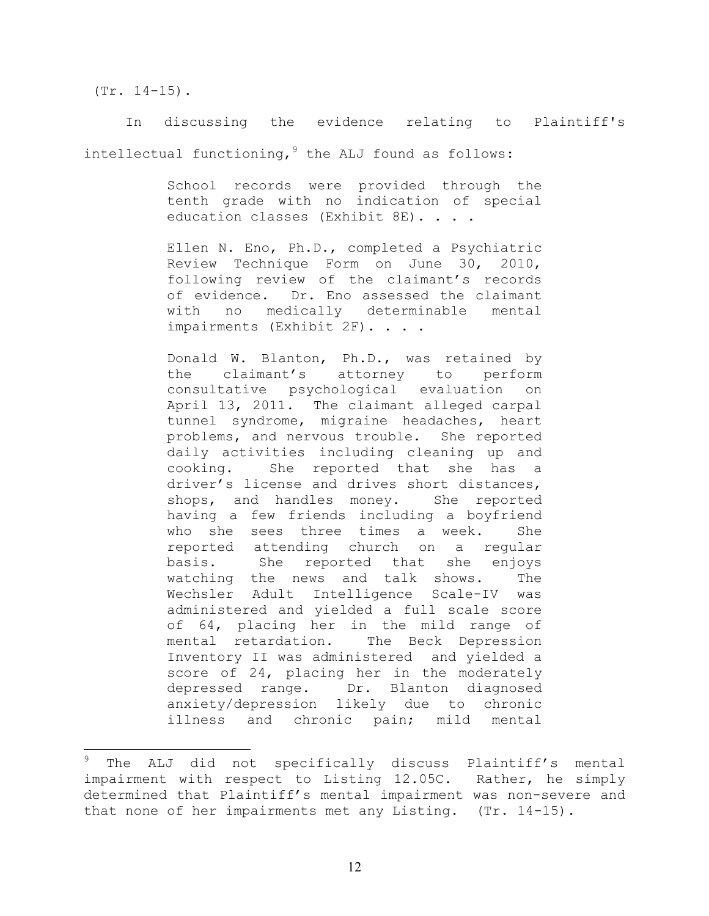(Tr. 14-15).

In discussing the evidence relating to Plaintiff's intellectual functioning,  $9$  the ALJ found as follows:

> School records were provided through the tenth grade with no indication of special education classes (Exhibit 8E). . . .

> Ellen N. Eno, Ph.D., completed a Psychiatric Review Technique Form on June 30, 2010, following review of the claimant's records of evidence. Dr. Eno assessed the claimant with no medically determinable mental impairments (Exhibit 2F). . . .

> Donald W. Blanton, Ph.D., was retained by the claimant's attorney to perform consultative psychological evaluation on April 13, 2011. The claimant alleged carpal tunnel syndrome, migraine headaches, heart problems, and nervous trouble. She reported daily activities including cleaning up and cooking. She reported that she has a driver's license and drives short distances, shops, and handles money. She reported having a few friends including a boyfriend who she sees three times a week. She reported attending church on a regular basis. She reported that she enjoys watching the news and talk shows. The Wechsler Adult Intelligence Scale-IV was administered and yielded a full scale score of 64, placing her in the mild range of mental retardation. The Beck Depression Inventory II was administered and yielded a score of 24, placing her in the moderately depressed range. Dr. Blanton diagnosed anxiety/depression likely due to chronic illness and chronic pain; mild mental

The ALJ did not specifically discuss Plaintiff's mental impairment with respect to Listing 12.05C. Rather, he simply determined that Plaintiff's mental impairment was non-severe and that none of her impairments met any Listing. (Tr. 14-15).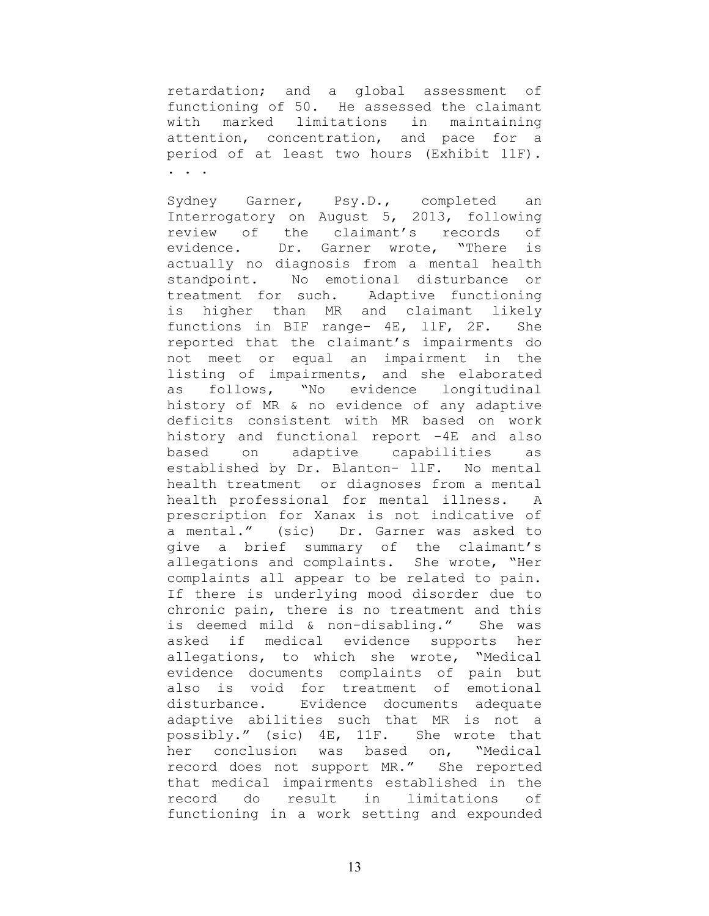retardation; and a global assessment of functioning of 50. He assessed the claimant with marked limitations in maintaining attention, concentration, and pace for a period of at least two hours (Exhibit 11F). . . .

Sydney Garner, Psy.D., completed an Interrogatory on August 5, 2013, following review of the claimant's records of evidence. Dr. Garner wrote, "There is actually no diagnosis from a mental health standpoint. No emotional disturbance or treatment for such. Adaptive functioning is higher than MR and claimant likely functions in BIF range- 4E, llF, 2F. She reported that the claimant's impairments do not meet or equal an impairment in the listing of impairments, and she elaborated as follows, "No evidence longitudinal history of MR & no evidence of any adaptive deficits consistent with MR based on work history and functional report -4E and also based on adaptive capabilities as established by Dr. Blanton- llF. No mental health treatment or diagnoses from a mental health professional for mental illness. A prescription for Xanax is not indicative of a mental." (sic) Dr. Garner was asked to give a brief summary of the claimant's allegations and complaints. She wrote, "Her complaints all appear to be related to pain. If there is underlying mood disorder due to chronic pain, there is no treatment and this is deemed mild & non-disabling." She was asked if medical evidence supports her allegations, to which she wrote, "Medical evidence documents complaints of pain but also is void for treatment of emotional disturbance. Evidence documents adequate adaptive abilities such that MR is not a possibly." (sic) 4E, 11F. She wrote that her conclusion was based on, "Medical record does not support MR." She reported that medical impairments established in the record do result in limitations of functioning in a work setting and expounded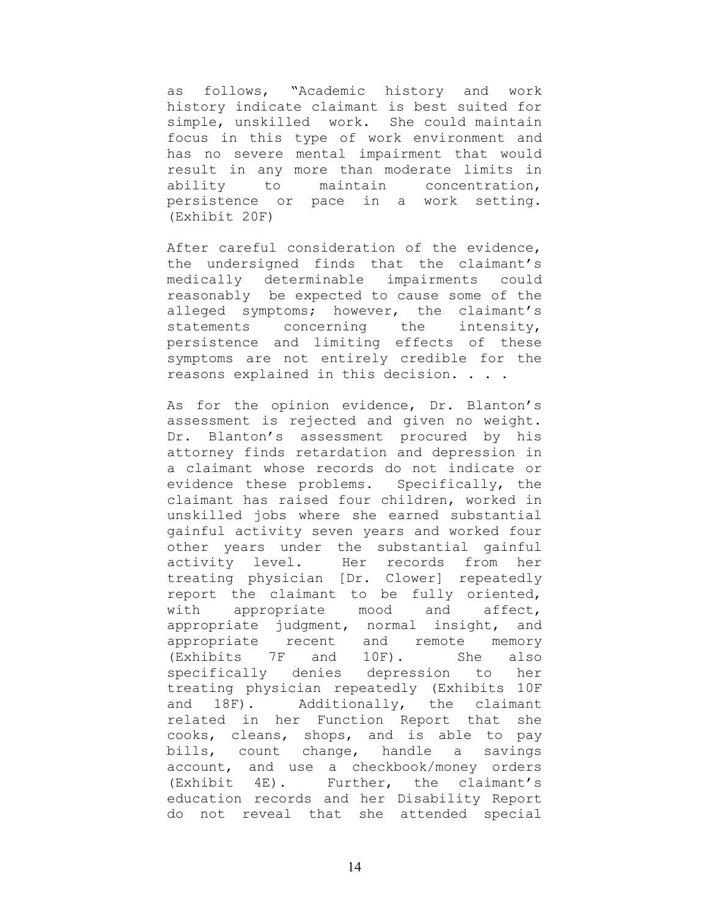as follows, "Academic history and work history indicate claimant is best suited for simple, unskilled work. She could maintain focus in this type of work environment and has no severe mental impairment that would result in any more than moderate limits in ability to maintain concentration, persistence or pace in a work setting. (Exhibit 20F)

After careful consideration of the evidence, the undersigned finds that the claimant's medically determinable impairments could reasonably be expected to cause some of the alleged symptoms; however, the claimant's statements concerning the intensity, persistence and limiting effects of these symptoms are not entirely credible for the reasons explained in this decision. . . .

As for the opinion evidence, Dr. Blanton's assessment is rejected and given no weight. Dr. Blanton's assessment procured by his attorney finds retardation and depression in a claimant whose records do not indicate or evidence these problems. Specifically, the claimant has raised four children, worked in unskilled jobs where she earned substantial gainful activity seven years and worked four other years under the substantial gainful activity level. Her records from her treating physician [Dr. Clower] repeatedly report the claimant to be fully oriented, with appropriate mood and affect, appropriate judgment, normal insight, and appropriate recent and remote memory (Exhibits 7F and 10F). She also specifically denies depression to her treating physician repeatedly (Exhibits 10F and 18F). Additionally, the claimant related in her Function Report that she cooks, cleans, shops, and is able to pay bills, count change, handle a savings account, and use a checkbook/money orders (Exhibit 4E). Further, the claimant's education records and her Disability Report do not reveal that she attended special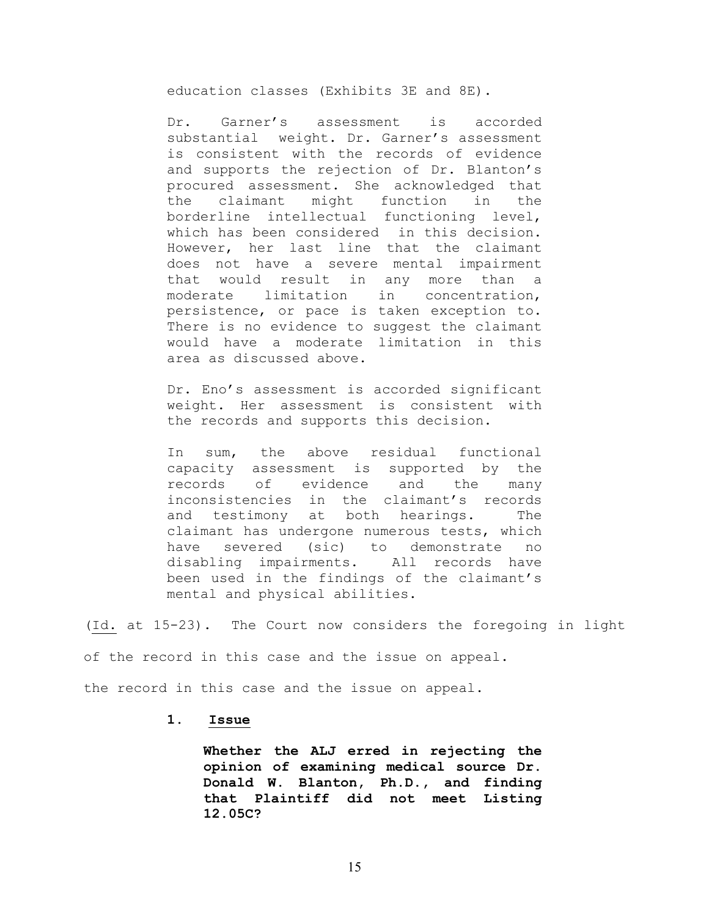education classes (Exhibits 3E and 8E).

Dr. Garner's assessment is accorded substantial weight. Dr. Garner's assessment is consistent with the records of evidence and supports the rejection of Dr. Blanton's procured assessment. She acknowledged that the claimant might function in the borderline intellectual functioning level, which has been considered in this decision. However, her last line that the claimant does not have a severe mental impairment that would result in any more than a moderate limitation in concentration, persistence, or pace is taken exception to. There is no evidence to suggest the claimant would have a moderate limitation in this area as discussed above.

Dr. Eno's assessment is accorded significant weight. Her assessment is consistent with the records and supports this decision.

In sum, the above residual functional capacity assessment is supported by the records of evidence and the many inconsistencies in the claimant's records and testimony at both hearings. The claimant has undergone numerous tests, which have severed (sic) to demonstrate no disabling impairments. All records have been used in the findings of the claimant's mental and physical abilities.

(Id. at 15-23). The Court now considers the foregoing in light of the record in this case and the issue on appeal.

the record in this case and the issue on appeal.

## **1. Issue**

**Whether the ALJ erred in rejecting the opinion of examining medical source Dr. Donald W. Blanton, Ph.D., and finding that Plaintiff did not meet Listing 12.05C?**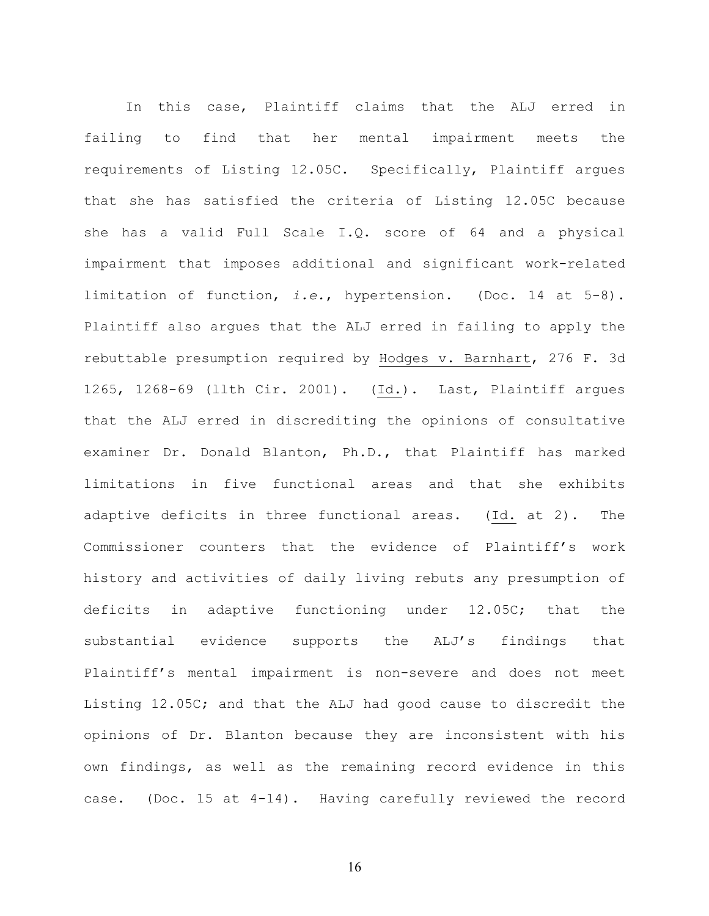In this case, Plaintiff claims that the ALJ erred in failing to find that her mental impairment meets the requirements of Listing 12.05C. Specifically, Plaintiff argues that she has satisfied the criteria of Listing 12.05C because she has a valid Full Scale I.Q. score of 64 and a physical impairment that imposes additional and significant work-related limitation of function, *i.e.*, hypertension. (Doc. 14 at 5-8). Plaintiff also argues that the ALJ erred in failing to apply the rebuttable presumption required by Hodges v. Barnhart, 276 F. 3d 1265, 1268-69 (llth Cir. 2001). (Id.). Last, Plaintiff argues that the ALJ erred in discrediting the opinions of consultative examiner Dr. Donald Blanton, Ph.D., that Plaintiff has marked limitations in five functional areas and that she exhibits adaptive deficits in three functional areas. (Id. at 2). The Commissioner counters that the evidence of Plaintiff's work history and activities of daily living rebuts any presumption of deficits in adaptive functioning under 12.05C; that the substantial evidence supports the ALJ's findings that Plaintiff's mental impairment is non-severe and does not meet Listing 12.05C; and that the ALJ had good cause to discredit the opinions of Dr. Blanton because they are inconsistent with his own findings, as well as the remaining record evidence in this case. (Doc. 15 at 4-14). Having carefully reviewed the record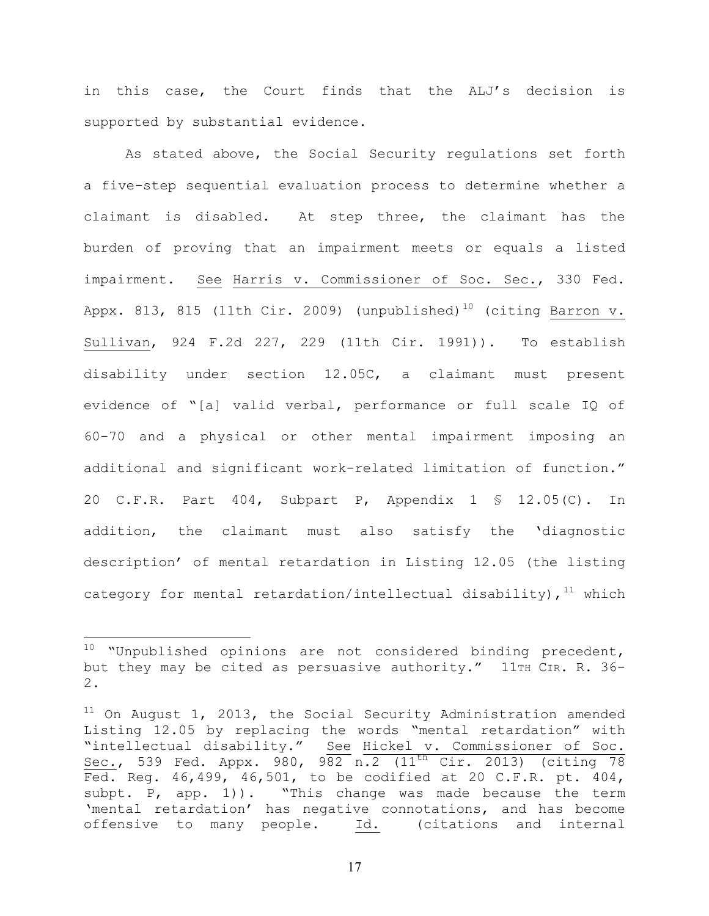in this case, the Court finds that the ALJ's decision is supported by substantial evidence.

As stated above, the Social Security regulations set forth a five-step sequential evaluation process to determine whether a claimant is disabled. At step three, the claimant has the burden of proving that an impairment meets or equals a listed impairment. See Harris v. Commissioner of Soc. Sec., 330 Fed. Appx. 813, 815 (11th Cir. 2009) (unpublished)<sup>10</sup> (citing Barron v. Sullivan, 924 F.2d 227, 229 (11th Cir. 1991)). To establish disability under section 12.05C, a claimant must present evidence of "[a] valid verbal, performance or full scale IQ of 60-70 and a physical or other mental impairment imposing an additional and significant work-related limitation of function." 20 C.F.R. Part 404, Subpart P, Appendix 1 § 12.05(C). In addition, the claimant must also satisfy the 'diagnostic description' of mental retardation in Listing 12.05 (the listing category for mental retardation/intellectual disability),  $11$  which

 $10$  "Unpublished opinions are not considered binding precedent, but they may be cited as persuasive authority." 11TH CIR. R. 36-2.

 $11$  On August 1, 2013, the Social Security Administration amended Listing 12.05 by replacing the words "mental retardation" with "intellectual disability." See Hickel v. Commissioner of Soc. Sec., 539 Fed. Appx. 980, 982 n.2  $(11^{th}$  Cir. 2013) (citing 78 Fed. Reg. 46,499, 46,501, to be codified at 20 C.F.R. pt. 404, subpt. P, app. 1)). "This change was made because the term 'mental retardation' has negative connotations, and has become offensive to many people. Id. (citations and internal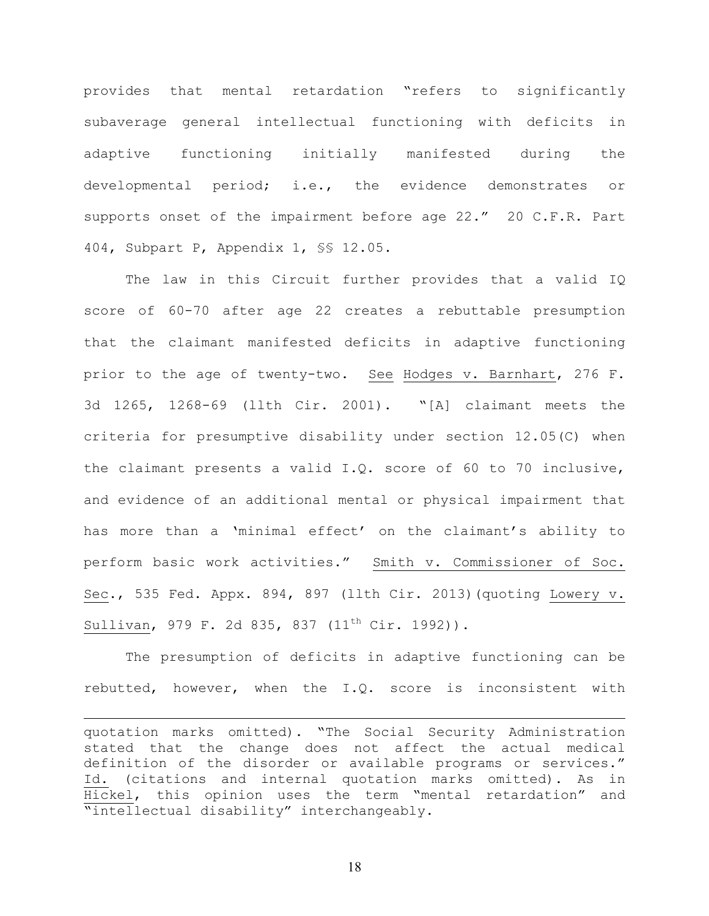provides that mental retardation "refers to significantly subaverage general intellectual functioning with deficits in adaptive functioning initially manifested during the developmental period; i.e., the evidence demonstrates or supports onset of the impairment before age 22." 20 C.F.R. Part 404, Subpart P, Appendix 1, §§ 12.05.

The law in this Circuit further provides that a valid IQ score of 60-70 after age 22 creates a rebuttable presumption that the claimant manifested deficits in adaptive functioning prior to the age of twenty-two. See Hodges v. Barnhart, 276 F. 3d 1265, 1268-69 (llth Cir. 2001). "[A] claimant meets the criteria for presumptive disability under section 12.05(C) when the claimant presents a valid I.Q. score of 60 to 70 inclusive, and evidence of an additional mental or physical impairment that has more than a 'minimal effect' on the claimant's ability to perform basic work activities." Smith v. Commissioner of Soc. Sec., 535 Fed. Appx. 894, 897 (llth Cir. 2013)(quoting Lowery v. Sullivan, 979 F. 2d 835, 837  $(11<sup>th</sup> Cir. 1992)$ .

The presumption of deficits in adaptive functioning can be rebutted, however, when the I.Q. score is inconsistent with

<u>.</u>

quotation marks omitted). "The Social Security Administration stated that the change does not affect the actual medical definition of the disorder or available programs or services." Id. (citations and internal quotation marks omitted). As in Hickel, this opinion uses the term "mental retardation" and "intellectual disability" interchangeably.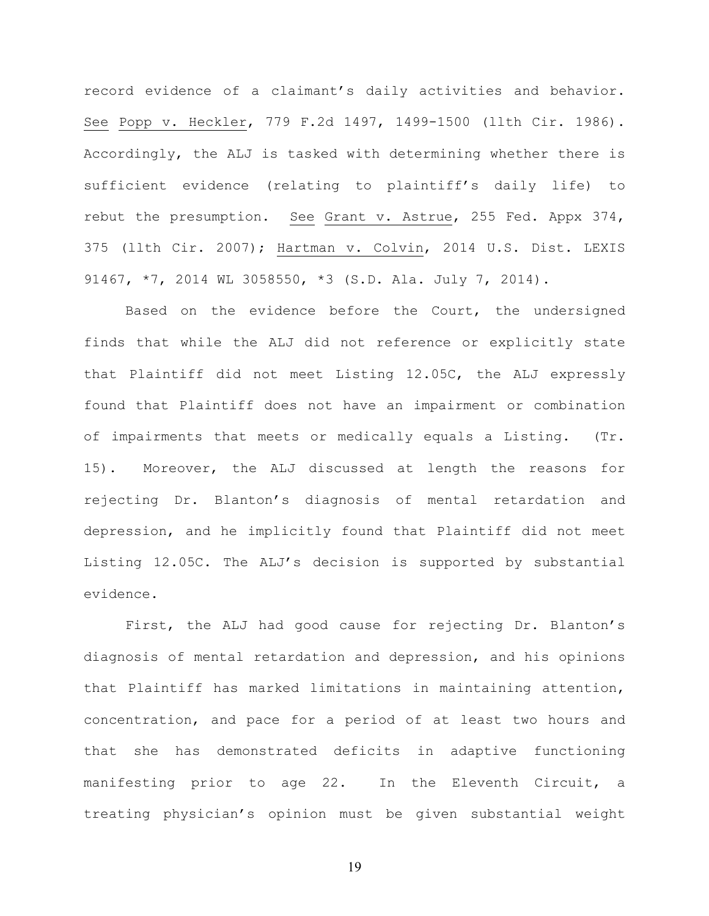record evidence of a claimant's daily activities and behavior. See Popp v. Heckler, 779 F.2d 1497, 1499-1500 (llth Cir. 1986). Accordingly, the ALJ is tasked with determining whether there is sufficient evidence (relating to plaintiff's daily life) to rebut the presumption. See Grant v. Astrue, 255 Fed. Appx 374, 375 (llth Cir. 2007); Hartman v. Colvin, 2014 U.S. Dist. LEXIS 91467, \*7, 2014 WL 3058550, \*3 (S.D. Ala. July 7, 2014).

Based on the evidence before the Court, the undersigned finds that while the ALJ did not reference or explicitly state that Plaintiff did not meet Listing 12.05C, the ALJ expressly found that Plaintiff does not have an impairment or combination of impairments that meets or medically equals a Listing. (Tr. 15). Moreover, the ALJ discussed at length the reasons for rejecting Dr. Blanton's diagnosis of mental retardation and depression, and he implicitly found that Plaintiff did not meet Listing 12.05C. The ALJ's decision is supported by substantial evidence.

First, the ALJ had good cause for rejecting Dr. Blanton's diagnosis of mental retardation and depression, and his opinions that Plaintiff has marked limitations in maintaining attention, concentration, and pace for a period of at least two hours and that she has demonstrated deficits in adaptive functioning manifesting prior to age 22. In the Eleventh Circuit, a treating physician's opinion must be given substantial weight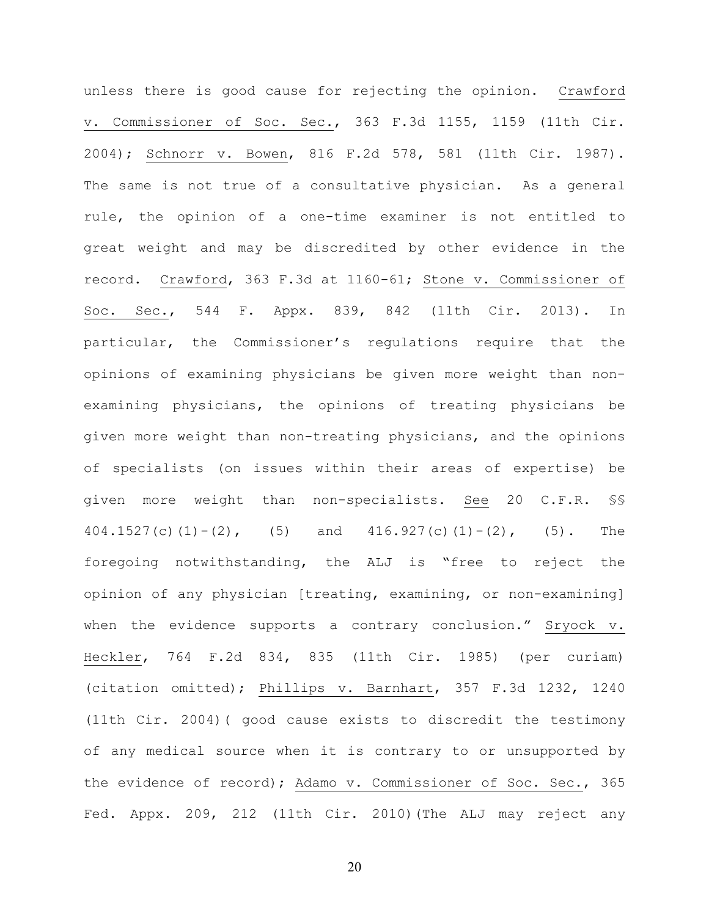unless there is good cause for rejecting the opinion. Crawford v. Commissioner of Soc. Sec., 363 F.3d 1155, 1159 (11th Cir. 2004); Schnorr v. Bowen, 816 F.2d 578, 581 (11th Cir. 1987). The same is not true of a consultative physician. As a general rule, the opinion of a one-time examiner is not entitled to great weight and may be discredited by other evidence in the record. Crawford, 363 F.3d at 1160-61; Stone v. Commissioner of Soc. Sec., 544 F. Appx. 839, 842 (11th Cir. 2013). In particular, the Commissioner's regulations require that the opinions of examining physicians be given more weight than nonexamining physicians, the opinions of treating physicians be given more weight than non-treating physicians, and the opinions of specialists (on issues within their areas of expertise) be given more weight than non-specialists. See 20 C.F.R. §§ 404.1527(c)(1)-(2), (5) and 416.927(c)(1)-(2), (5). The foregoing notwithstanding, the ALJ is "free to reject the opinion of any physician [treating, examining, or non-examining] when the evidence supports a contrary conclusion." Sryock v. Heckler, 764 F.2d 834, 835 (11th Cir. 1985) (per curiam) (citation omitted); Phillips v. Barnhart, 357 F.3d 1232, 1240 (11th Cir. 2004)( good cause exists to discredit the testimony of any medical source when it is contrary to or unsupported by the evidence of record); Adamo v. Commissioner of Soc. Sec., 365 Fed. Appx. 209, 212 (11th Cir. 2010)(The ALJ may reject any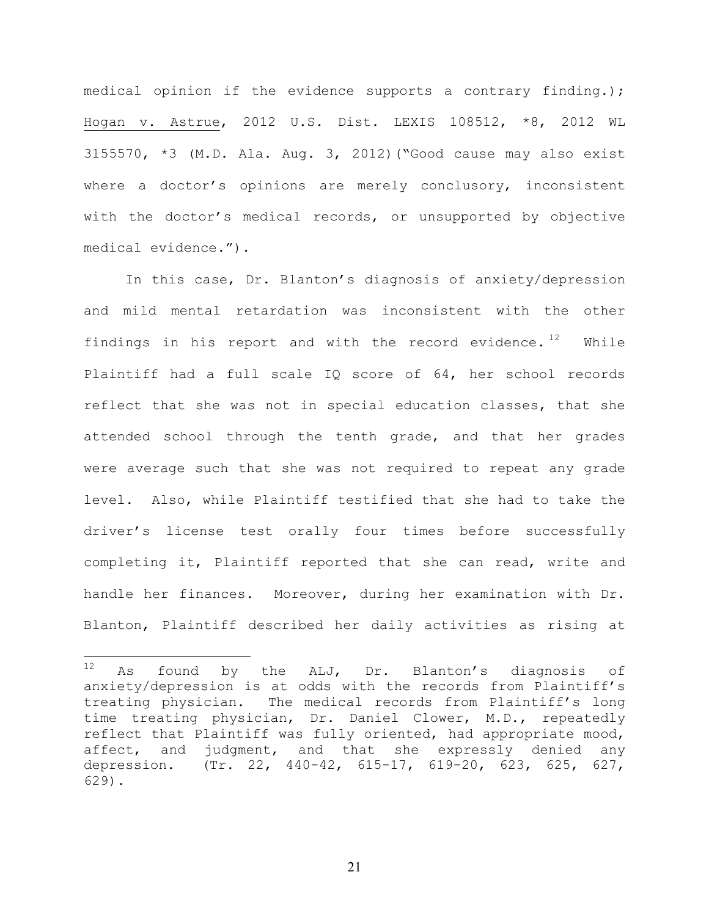medical opinion if the evidence supports a contrary finding.); Hogan v. Astrue, 2012 U.S. Dist. LEXIS 108512, \*8, 2012 WL 3155570, \*3 (M.D. Ala. Aug. 3, 2012)("Good cause may also exist where a doctor's opinions are merely conclusory, inconsistent with the doctor's medical records, or unsupported by objective medical evidence.").

In this case, Dr. Blanton's diagnosis of anxiety/depression and mild mental retardation was inconsistent with the other findings in his report and with the record evidence.  $12$  While Plaintiff had a full scale IQ score of 64, her school records reflect that she was not in special education classes, that she attended school through the tenth grade, and that her grades were average such that she was not required to repeat any grade level. Also, while Plaintiff testified that she had to take the driver's license test orally four times before successfully completing it, Plaintiff reported that she can read, write and handle her finances. Moreover, during her examination with Dr. Blanton, Plaintiff described her daily activities as rising at

 $12$  As found by the ALJ, Dr. Blanton's diagnosis of anxiety/depression is at odds with the records from Plaintiff's treating physician. The medical records from Plaintiff's long time treating physician, Dr. Daniel Clower, M.D., repeatedly reflect that Plaintiff was fully oriented, had appropriate mood, affect, and judgment, and that she expressly denied any depression. (Tr. 22, 440-42, 615-17, 619-20, 623, 625, 627, 629).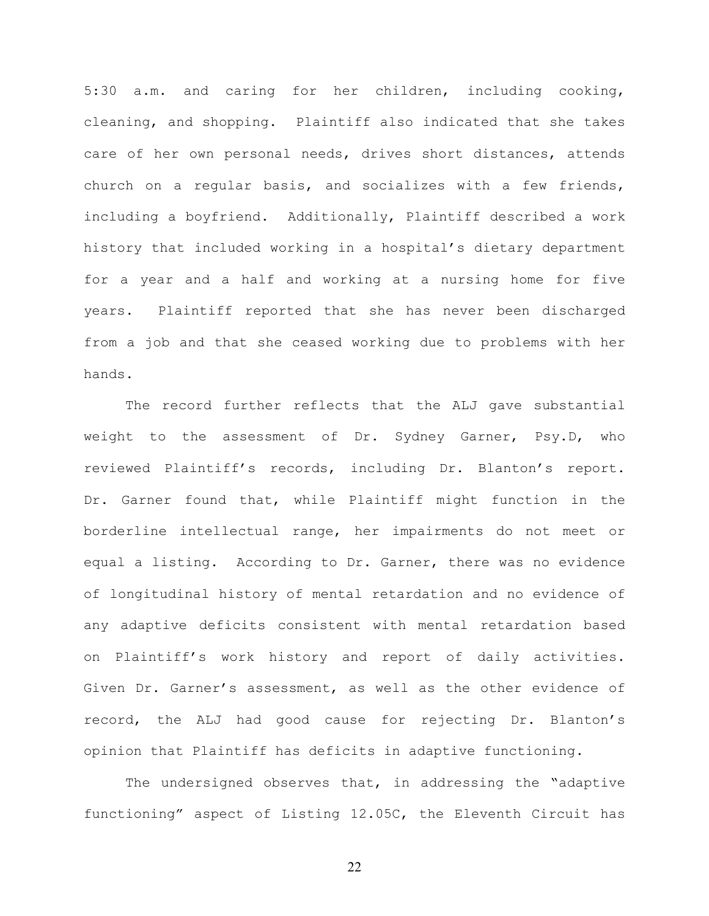5:30 a.m. and caring for her children, including cooking, cleaning, and shopping. Plaintiff also indicated that she takes care of her own personal needs, drives short distances, attends church on a regular basis, and socializes with a few friends, including a boyfriend. Additionally, Plaintiff described a work history that included working in a hospital's dietary department for a year and a half and working at a nursing home for five years. Plaintiff reported that she has never been discharged from a job and that she ceased working due to problems with her hands.

The record further reflects that the ALJ gave substantial weight to the assessment of Dr. Sydney Garner, Psy.D, who reviewed Plaintiff's records, including Dr. Blanton's report. Dr. Garner found that, while Plaintiff might function in the borderline intellectual range, her impairments do not meet or equal a listing. According to Dr. Garner, there was no evidence of longitudinal history of mental retardation and no evidence of any adaptive deficits consistent with mental retardation based on Plaintiff's work history and report of daily activities. Given Dr. Garner's assessment, as well as the other evidence of record, the ALJ had good cause for rejecting Dr. Blanton's opinion that Plaintiff has deficits in adaptive functioning.

The undersigned observes that, in addressing the "adaptive functioning" aspect of Listing 12.05C, the Eleventh Circuit has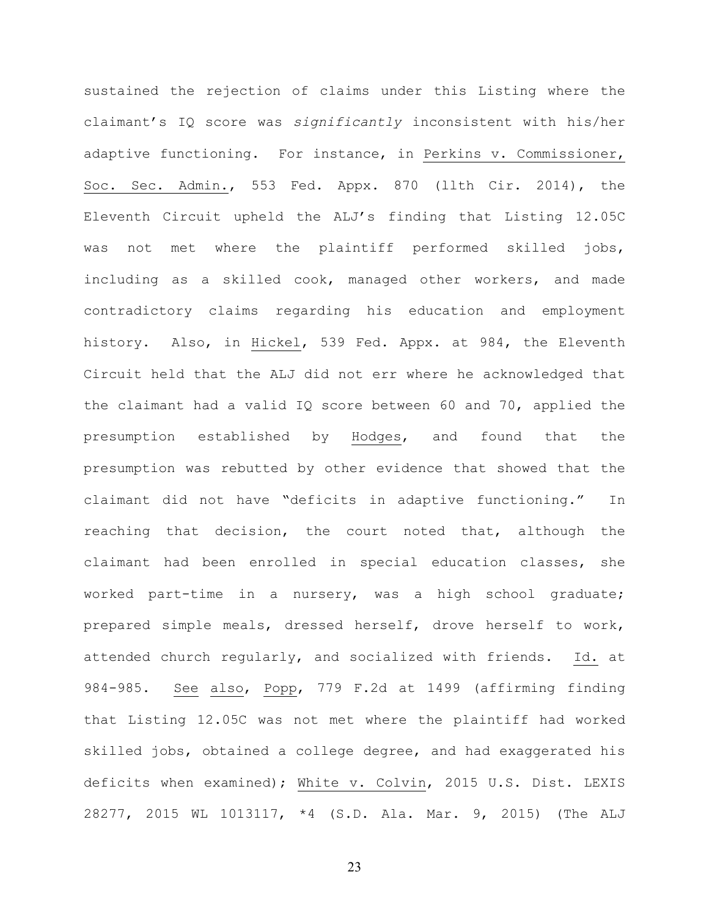sustained the rejection of claims under this Listing where the claimant's IQ score was *significantly* inconsistent with his/her adaptive functioning. For instance, in Perkins v. Commissioner, Soc. Sec. Admin., 553 Fed. Appx. 870 (llth Cir. 2014), the Eleventh Circuit upheld the ALJ's finding that Listing 12.05C was not met where the plaintiff performed skilled jobs, including as a skilled cook, managed other workers, and made contradictory claims regarding his education and employment history. Also, in Hickel, 539 Fed. Appx. at 984, the Eleventh Circuit held that the ALJ did not err where he acknowledged that the claimant had a valid IQ score between 60 and 70, applied the presumption established by Hodges, and found that the presumption was rebutted by other evidence that showed that the claimant did not have "deficits in adaptive functioning." In reaching that decision, the court noted that, although the claimant had been enrolled in special education classes, she worked part-time in a nursery, was a high school graduate; prepared simple meals, dressed herself, drove herself to work, attended church regularly, and socialized with friends. Id. at 984-985. See also, Popp, 779 F.2d at 1499 (affirming finding that Listing 12.05C was not met where the plaintiff had worked skilled jobs, obtained a college degree, and had exaggerated his deficits when examined); White v. Colvin, 2015 U.S. Dist. LEXIS 28277, 2015 WL 1013117, \*4 (S.D. Ala. Mar. 9, 2015) (The ALJ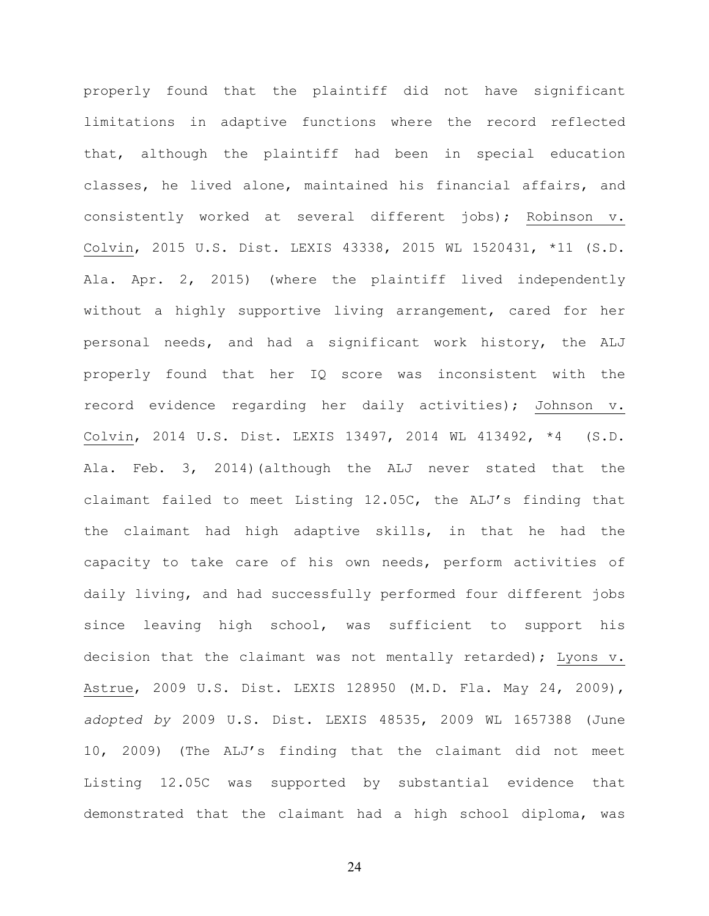properly found that the plaintiff did not have significant limitations in adaptive functions where the record reflected that, although the plaintiff had been in special education classes, he lived alone, maintained his financial affairs, and consistently worked at several different jobs); Robinson v. Colvin, 2015 U.S. Dist. LEXIS 43338, 2015 WL 1520431, \*11 (S.D. Ala. Apr. 2, 2015) (where the plaintiff lived independently without a highly supportive living arrangement, cared for her personal needs, and had a significant work history, the ALJ properly found that her IQ score was inconsistent with the record evidence regarding her daily activities); Johnson v. Colvin, 2014 U.S. Dist. LEXIS 13497, 2014 WL 413492, \*4 (S.D. Ala. Feb. 3, 2014)(although the ALJ never stated that the claimant failed to meet Listing 12.05C, the ALJ's finding that the claimant had high adaptive skills, in that he had the capacity to take care of his own needs, perform activities of daily living, and had successfully performed four different jobs since leaving high school, was sufficient to support his decision that the claimant was not mentally retarded); Lyons v. Astrue, 2009 U.S. Dist. LEXIS 128950 (M.D. Fla. May 24, 2009), *adopted by* 2009 U.S. Dist. LEXIS 48535, 2009 WL 1657388 (June 10, 2009) (The ALJ's finding that the claimant did not meet Listing 12.05C was supported by substantial evidence that demonstrated that the claimant had a high school diploma, was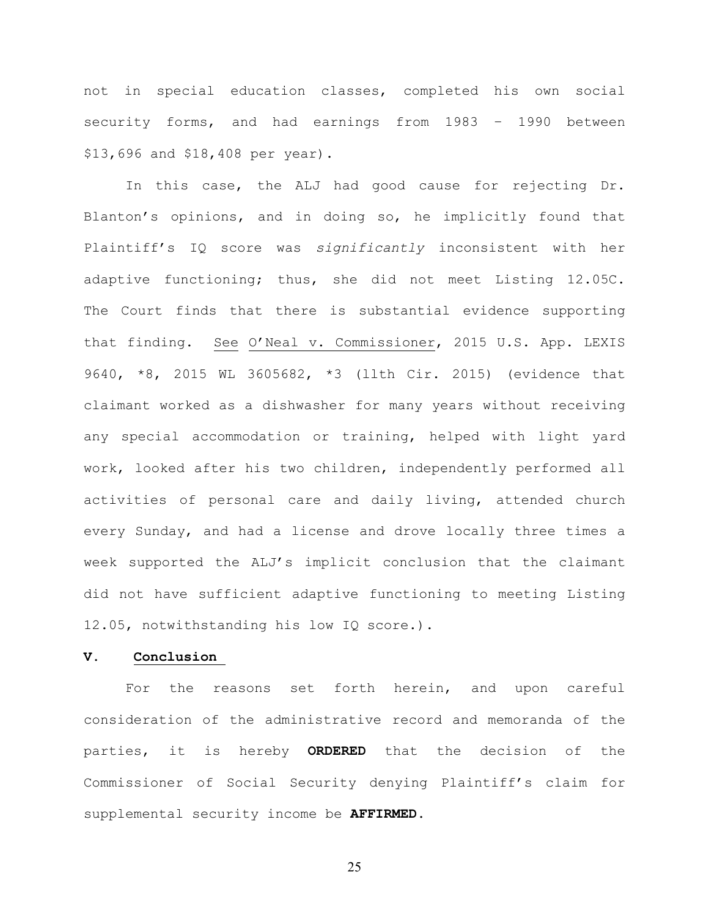not in special education classes, completed his own social security forms, and had earnings from 1983 – 1990 between \$13,696 and \$18,408 per year).

In this case, the ALJ had good cause for rejecting Dr. Blanton's opinions, and in doing so, he implicitly found that Plaintiff's IQ score was *significantly* inconsistent with her adaptive functioning; thus, she did not meet Listing 12.05C. The Court finds that there is substantial evidence supporting that finding. See O'Neal v. Commissioner, 2015 U.S. App. LEXIS 9640, \*8, 2015 WL 3605682, \*3 (llth Cir. 2015) (evidence that claimant worked as a dishwasher for many years without receiving any special accommodation or training, helped with light yard work, looked after his two children, independently performed all activities of personal care and daily living, attended church every Sunday, and had a license and drove locally three times a week supported the ALJ's implicit conclusion that the claimant did not have sufficient adaptive functioning to meeting Listing 12.05, notwithstanding his low IQ score.).

## **V. Conclusion**

For the reasons set forth herein, and upon careful consideration of the administrative record and memoranda of the parties, it is hereby **ORDERED** that the decision of the Commissioner of Social Security denying Plaintiff's claim for supplemental security income be **AFFIRMED.**